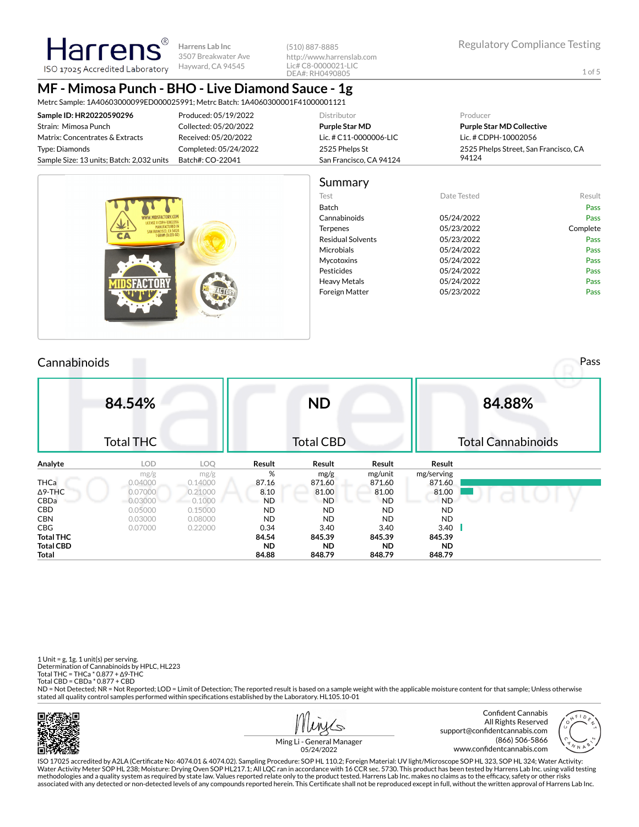(510) 887-8885 http://www.harrenslab.com Lic# C8-0000021-LIC DEA#: RH0490805

1 of 5

# **MF - Mimosa Punch - BHO - Live Diamond Sauce - 1g**

Metrc Sample: 1A40603000099ED000025991; Metrc Batch: 1A4060300001F41000001121

| Sample ID: HR20220590296                  | Produced: 05/19/2022  | Distributor             | Producer                              |
|-------------------------------------------|-----------------------|-------------------------|---------------------------------------|
| Strain: Mimosa Punch                      | Collected: 05/20/2022 | <b>Purple Star MD</b>   | <b>Purple Star MD Collective</b>      |
| Matrix: Concentrates & Extracts           | Received: 05/20/2022  | Lic. # C11-0000006-LIC  | Lic. # CDPH-10002056                  |
| Type: Diamonds                            | Completed: 05/24/2022 | 2525 Phelps St          | 2525 Phelps Street, San Francisco, CA |
| Sample Size: 13 units; Batch: 2,032 units | Batch#: CO-22041      | San Francisco, CA 94124 | 94124                                 |
|                                           |                       |                         |                                       |



## Cannabinoids Pass

|                  | 84.54%           |         |           | <b>ND</b>        |           |            | 84.88%                    |
|------------------|------------------|---------|-----------|------------------|-----------|------------|---------------------------|
|                  | <b>Total THC</b> |         |           | <b>Total CBD</b> |           |            | <b>Total Cannabinoids</b> |
| Analyte          | <b>LOD</b>       | LOQ     | Result    | Result           | Result    | Result     |                           |
|                  | mg/g             | mg/g    | %         | mg/g             | mg/unit   | mg/serving |                           |
| <b>THCa</b>      | 0.04000          | 0.14000 | 87.16     | 871.60           | 871.60    | 871.60     |                           |
| $\Delta$ 9-THC   | 0.07000          | 0.21000 | 8.10      | 81.00            | 81.00     | 81.00      |                           |
| CBDa             | 0.03000          | 0.1000  | <b>ND</b> | <b>ND</b>        | <b>ND</b> | <b>ND</b>  |                           |
| CBD.             | 0.05000          | 0.15000 | <b>ND</b> | <b>ND</b>        | <b>ND</b> | ND.        |                           |
| <b>CBN</b>       | 0.03000          | 0.08000 | <b>ND</b> | <b>ND</b>        | <b>ND</b> | <b>ND</b>  |                           |
| CBG              | 0.07000          | 0.22000 | 0.34      | 3.40             | 3.40      | 3.40       |                           |
| <b>Total THC</b> |                  |         | 84.54     | 845.39           | 845.39    | 845.39     |                           |
| <b>Total CBD</b> |                  |         | <b>ND</b> | <b>ND</b>        | <b>ND</b> | <b>ND</b>  |                           |
| <b>Total</b>     |                  |         | 84.88     | 848.79           | 848.79    | 848.79     |                           |

1 Unit = g, 1g. 1 unit(s) per serving. Determination of Cannabinoids by HPLC, HL223 Total THC = THCa \* 0.877 + ∆9-THC Total CBD = CBDa \* 0.877 + CBD

ND = Not Detected; NR = Not Reported; LOD = Limit of Detection; The reported result is based on a sample weight with the applicable moisture content for that sample; Unless otherwise stated all quality control samples performed within specifications established by the Laboratory. HL105.10-01





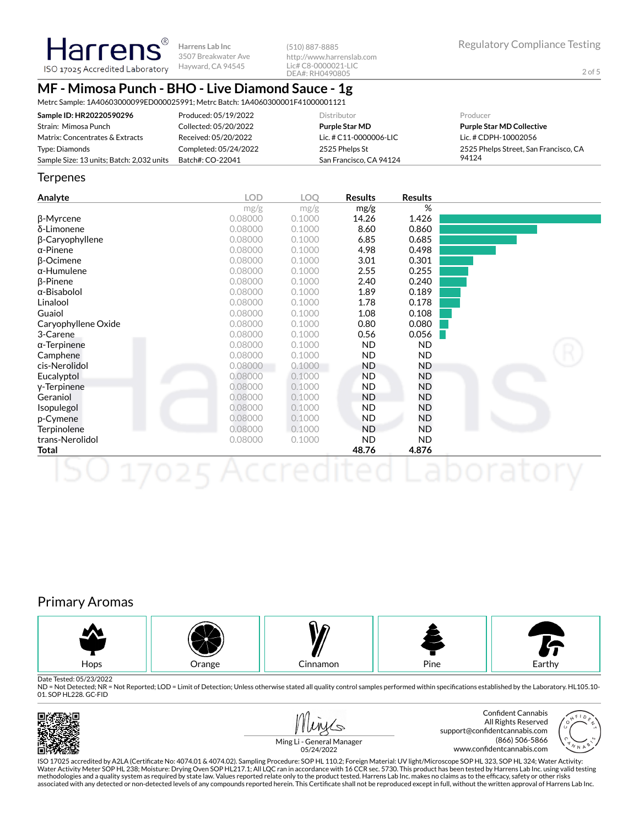2 of 5

### Harrens® **Harrens Lab Inc** ISO 17025 Accredited Laboratory Hayward, CA 94545

3507 Breakwater Ave

(510) 887-8885 http://www.harrenslab.com Lic# C8-0000021-LIC DEA#: RH0490805

## **MF - Mimosa Punch - BHO - Live Diamond Sauce - 1g**

Metrc Sample: 1A40603000099ED000025991; Metrc Batch: 1A4060300001F41000001121

| Sample ID: HR20220590296                  | Produced: 05/19/2022  | <b>Distributor</b>      | Producer                              |
|-------------------------------------------|-----------------------|-------------------------|---------------------------------------|
| Strain: Mimosa Punch                      | Collected: 05/20/2022 | <b>Purple Star MD</b>   | <b>Purple Star MD Collective</b>      |
| Matrix: Concentrates & Extracts           | Received: 05/20/2022  | Lic. # C11-0000006-LIC  | Lic. # CDPH-10002056                  |
| Type: Diamonds                            | Completed: 05/24/2022 | 2525 Phelps St          | 2525 Phelps Street, San Francisco, CA |
| Sample Size: 13 units; Batch: 2,032 units | Batch#: CO-22041      | San Francisco, CA 94124 | 94124                                 |

#### **Terpenes**

| Analyte             | <b>LOD</b> | LOQ    | <b>Results</b> | <b>Results</b> |  |
|---------------------|------------|--------|----------------|----------------|--|
|                     | mg/g       | mg/g   | mg/g           | %              |  |
| β-Myrcene           | 0.08000    | 0.1000 | 14.26          | 1.426          |  |
| δ-Limonene          | 0.08000    | 0.1000 | 8.60           | 0.860          |  |
| β-Caryophyllene     | 0.08000    | 0.1000 | 6.85           | 0.685          |  |
| $\alpha$ -Pinene    | 0.08000    | 0.1000 | 4.98           | 0.498          |  |
| $\beta$ -Ocimene    | 0.08000    | 0.1000 | 3.01           | 0.301          |  |
| $\alpha$ -Humulene  | 0.08000    | 0.1000 | 2.55           | 0.255          |  |
| $\beta$ -Pinene     | 0.08000    | 0.1000 | 2.40           | 0.240          |  |
| $\alpha$ -Bisabolol | 0.08000    | 0.1000 | 1.89           | 0.189          |  |
| Linalool            | 0.08000    | 0.1000 | 1.78           | 0.178          |  |
| Guaiol              | 0.08000    | 0.1000 | 1.08           | 0.108          |  |
| Caryophyllene Oxide | 0.08000    | 0.1000 | 0.80           | 0.080          |  |
| 3-Carene            | 0.08000    | 0.1000 | 0.56           | 0.056          |  |
| $\alpha$ -Terpinene | 0.08000    | 0.1000 | ND.            | <b>ND</b>      |  |
| Camphene            | 0.08000    | 0.1000 | ND.            | ND.            |  |
| cis-Nerolidol       | 0.08000    | 0.1000 | ND             | ND             |  |
| Eucalyptol          | 0.08000    | 0.1000 | <b>ND</b>      | <b>ND</b>      |  |
| y-Terpinene         | 0.08000    | 0.1000 | ND.            | ND             |  |
| Geraniol            | 0.08000    | 0.1000 | <b>ND</b>      | ND             |  |
| Isopulegol          | 0.08000    | 0.1000 | ND.            | ND             |  |
| p-Cymene            | 0.08000    | 0.1000 | ND.            | ND             |  |
| Terpinolene         | 0.08000    | 0.1000 | <b>ND</b>      | ND.            |  |
| trans-Nerolidol     | 0.08000    | 0.1000 | ND.            | <b>ND</b>      |  |
| Total               |            |        | 48.76          | 4.876          |  |
| <b>APTE</b>         |            |        |                |                |  |

## Primary Aromas



Date Tested: 05/23/2022

ND = Not Detected; NR = Not Reported; LOD = Limit of Detection; Unless otherwise stated all quality control samples performed within specifications established by the Laboratory. HL105.10-01. SOP HL228. GC-FID





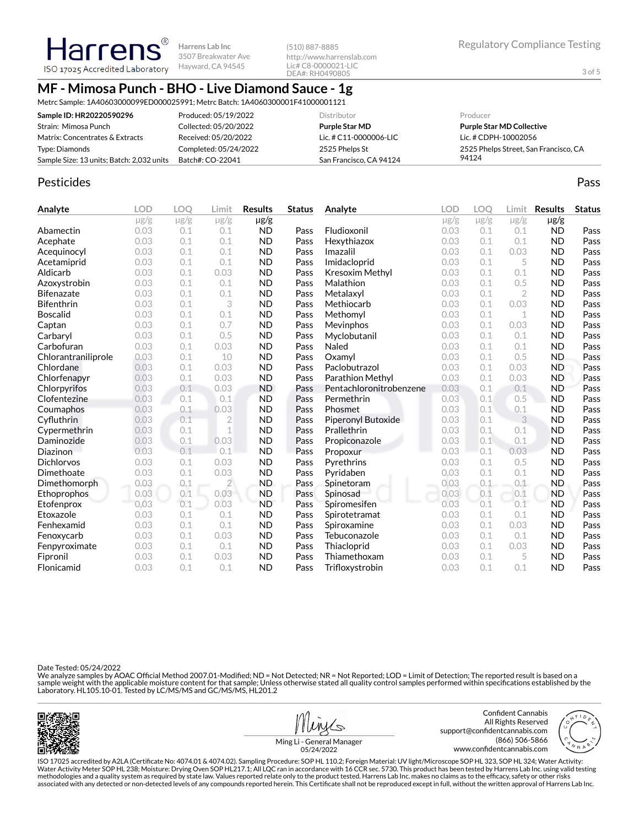(510) 887-8885 http://www.harrenslab.com Lic# C8-0000021-LIC DEA#: RH0490805

3 of 5

## **MF - Mimosa Punch - BHO - Live Diamond Sauce - 1g**

Metrc Sample: 1A40603000099ED000025991; Metrc Batch: 1A4060300001F41000001121

| Sample ID: HR20220590296                  | Produced: 05/19/2022  | Distributor             | Producer                              |
|-------------------------------------------|-----------------------|-------------------------|---------------------------------------|
| Strain: Mimosa Punch                      | Collected: 05/20/2022 | <b>Purple Star MD</b>   | <b>Purple Star MD Collective</b>      |
| Matrix: Concentrates & Extracts           | Received: 05/20/2022  | Lic. # C11-0000006-LIC  | Lic. # CDPH-10002056                  |
| Type: Diamonds                            | Completed: 05/24/2022 | 2525 Phelps St          | 2525 Phelps Street, San Francisco, CA |
| Sample Size: 13 units; Batch: 2,032 units | Batch#: CO-22041      | San Francisco, CA 94124 | 94124                                 |

#### Pesticides **Passage Community Community Community** Passes and the extension of the extension of the extension of the extension of the extension of the extension of the extension of the extension of the extension of the ext

**Analyte LOD LOQ Limit Results Status**  $\mu$ g/g  $\mu$ g/g  $\mu$ g/g  $\mu$ g/g Abamectin 0.03 0.1 0.1 ND Pass Acephate 0.03 0.1 0.1 ND Pass Acequinocyl 0.03 0.1 0.1 ND Pass Acetamiprid 0.03 0.1 0.1 ND Pass Aldicarb 0.03 0.1 0.03 ND Pass Azoxystrobin 0.03 0.1 0.1 ND Pass Bifenazate 0.03 0.1 0.1 ND Pass Bifenthrin 0.03 0.1 3 ND Pass Boscalid 0.03 0.1 0.1 ND Pass **Captan 12.1 0.03 0.1 0.7 ND Pass** Carbaryl 0.03 0.1 0.5 ND Pass Carbofuran 0.03 0.1 0.03 ND Pass Chlorantraniliprole 0.03 0.1 10 ND Pass Chlordane 0.03 0.1 0.03 ND Pass Chlorfenapyr 0.03 0.1 0.03 ND Pass Chlorpyrifos 0.03 0.1 0.03 ND Pass Clofentezine 0.03 0.1 0.1 ND Pass Coumaphos 0.03 0.1 0.03 ND Pass Cyfluthrin 0.03 0.1 2 ND Pass Cypermethrin 0.03 0.1 1 ND Pass **Daminozide** 0.03 0.1 0.03 ND Pass **Diazinon** 0.03 0.1 0.1 ND Pass Dichlorvos 0.03 0.1 0.03 ND Pass Dimethoate 0.03 0.1 0.03 ND Pass Dimethomorph 0.03 0.1 2 ND Pass Ethoprophos 0.03 0.1 0.03 ND Pass Etofenprox 0.03 0.1 0.03 ND Pass Etoxazole 0.03 0.1 0.1 ND Pass Fenhexamid 0.03 0.1 0.1 ND Pass Fenoxycarb 0.03 0.1 0.03 ND Pass Fenpyroximate 0.03 0.1 0.1 ND Pass Fipronil 0.03 0.1 0.03 ND Pass Flonicamid 0.03 0.1 0.1 ND Pass **Analyte LOD LOQ Limit Results Status**  $\mu$ g/g  $\mu$ g/g  $\mu$ g/g  $\mu$ g/g Fludioxonil 0.03 0.1 0.1 ND Pass Hexythiazox 0.03 0.1 0.1 ND Pass **Imazalil 11 0.03 0.1 0.03 ND Pass** Imidacloprid 0.03 0.1 5 ND Pass Kresoxim Methyl  $0.03$  0.1 0.1 ND Pass **Malathion** 0.03 0.1 0.5 **ND Pass** Metalaxyl 0.03 0.1 2 ND Pass Methiocarb 0.03 0.1 0.03 ND Pass Methomyl 0.03 0.1 1 ND Pass Mevinphos 0.03 0.1 0.03 ND Pass Myclobutanil 0.03 0.1 0.1 ND Pass **Naled 1200 0.03 0.1 0.1 ND Pass Oxamyl** 0.03 0.1 0.5 **ND Pass** Paclobutrazol 0.03 0.1 0.03 ND Pass Parathion Methyl 0.03 0.1 0.03 ND Pass Pentachloronitrobenzene 0.03 0.1 0.1 ND Pass Permethrin 0.03 0.1 0.5 ND Pass Phosmet 0.03 0.1 0.1 ND Pass Piperonyl Butoxide 0.03 0.1 3 ND Pass Prallethrin 0.03 0.1 0.1 ND Pass Propiconazole 0.03 0.1 0.1 ND Pass Propoxur 0.03 0.1 0.03 ND Pass Pyrethrins 0.03 0.1 0.5 ND Pass Pyridaben 0.03 0.1 0.1 ND Pass Spinetoram 0.03 0.1 0.1 ND Pass Spinosad 0.03 0.1 0.1 ND Pass Spiromesifen 0.03 0.1 0.1 ND Pass Spirotetramat 0.03 0.1 0.1 ND Pass Spiroxamine 0.03 0.1 0.03 ND Pass Tebuconazole  $0.03$   $0.1$  0.1 ND Pass Thiacloprid 0.03 0.1 0.03 ND Pass Thiamethoxam 0.03 0.1 5 ND Pass Trifloxystrobin 0.03 0.1 0.1 ND Pass

Date Tested: 05/24/2022

We analyze samples by AOAC Official Method 2007.01-Modified; ND = Not Detected; NR = Not Reported; LOD = Limit of Detection; The reported result is based on a sample weight with the applicable moisture content for that sample; Unless otherwise stated all quality control samples performed within specifications established by the<br>Laboratory. HL105.10-01. Tested by LC/MS/MS and GC/







Ming Li - General Manager 05/24/2022

ISO 17025 accredited by A2LA (Certicate No: 4074.01 & 4074.02). Sampling Procedure: SOP HL 110.2; Foreign Material: UV light/Microscope SOP HL 323, SOP HL 324; Water Activity: Water Activity Meter SOP HL 238; Moisture: Drying Oven SOP HL217.1; All LQC ran in accordance with 16 CCR sec. 5730. This product has been tested by Harrens Lab Inc. using valid testing methodologies and a quality system as required by state law. Values reported relate only to the product tested. Harrens Lab Inc. makes no claims as to the efcacy, safety or other risks associated with any detected or non-detected levels of any compounds reported herein. This Certificate shall not be reproduced except in full, without the written approval of Harrens Lab Inc.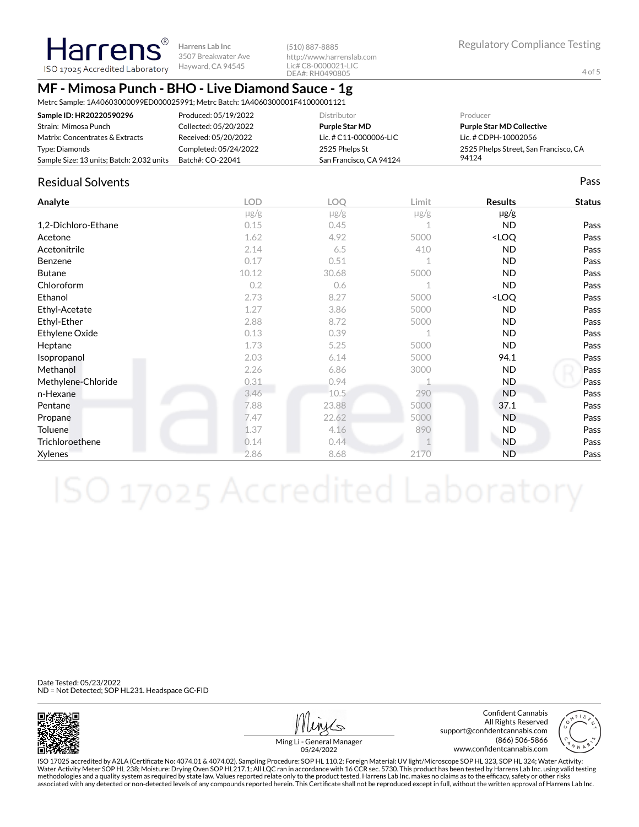(510) 887-8885 http://www.harrenslab.com Lic# C8-0000021-LIC DEA#: RH0490805

Regulatory Compliance Testing

4 of 5

## **MF - Mimosa Punch - BHO - Live Diamond Sauce - 1g**

Metrc Sample: 1A40603000099ED000025991; Metrc Batch: 1A4060300001F41000001121

| Sample ID: HR20220590296                  | Produced: 05/19/2022  | <b>Distributor</b>      | Producer                              |
|-------------------------------------------|-----------------------|-------------------------|---------------------------------------|
| Strain: Mimosa Punch                      | Collected: 05/20/2022 | <b>Purple Star MD</b>   | <b>Purple Star MD Collective</b>      |
| Matrix: Concentrates & Extracts           | Received: 05/20/2022  | Lic. # C11-0000006-LIC  | Lic. # CDPH-10002056                  |
| Type: Diamonds                            | Completed: 05/24/2022 | 2525 Phelps St          | 2525 Phelps Street, San Francisco, CA |
| Sample Size: 13 units; Batch: 2,032 units | Batch#: CO-22041      | San Francisco, CA 94124 | 94124                                 |

### Residual Solvents Pass

| Analyte             | <b>LOD</b> | <b>LOO</b> | Limit       | <b>Results</b>                   | <b>Status</b> |
|---------------------|------------|------------|-------------|----------------------------------|---------------|
|                     | $\mu$ g/g  | $\mu$ g/g  | $\mu$ g/g   | $\mu$ g/g                        |               |
| 1,2-Dichloro-Ethane | 0.15       | 0.45       |             | <b>ND</b>                        | Pass          |
| Acetone             | 1.62       | 4.92       | 5000        | <loq< td=""><td>Pass</td></loq<> | Pass          |
| Acetonitrile        | 2.14       | 6.5        | 410         | <b>ND</b>                        | Pass          |
| Benzene             | 0.17       | 0.51       | $\mathbf 1$ | <b>ND</b>                        | Pass          |
| <b>Butane</b>       | 10.12      | 30.68      | 5000        | <b>ND</b>                        | Pass          |
| Chloroform          | 0.2        | 0.6        |             | <b>ND</b>                        | Pass          |
| Ethanol             | 2.73       | 8.27       | 5000        | <loq< td=""><td>Pass</td></loq<> | Pass          |
| Ethyl-Acetate       | 1.27       | 3.86       | 5000        | <b>ND</b>                        | Pass          |
| Ethyl-Ether         | 2.88       | 8.72       | 5000        | <b>ND</b>                        | Pass          |
| Ethylene Oxide      | 0.13       | 0.39       | 1           | ND.                              | Pass          |
| Heptane             | 1.73       | 5.25       | 5000        | ND.                              | Pass          |
| Isopropanol         | 2.03       | 6.14       | 5000        | 94.1                             | Pass          |
| Methanol            | 2.26       | 6.86       | 3000        | ND.                              | Pass          |
| Methylene-Chloride  | 0.31       | 0.94       |             | ND.                              | Pass          |
| n-Hexane            | 3.46       | 10.5       | 290         | <b>ND</b>                        | Pass          |
| Pentane             | 7.88       | 23.88      | 5000        | 37.1                             | Pass          |
| Propane             | 7.47       | 22.62      | 5000        | <b>ND</b>                        | Pass          |
| Toluene             | 1.37       | 4.16       | 890         | <b>ND</b>                        | Pass          |
| Trichloroethene     | 0.14       | 0.44       |             | ND.                              | Pass          |
| Xylenes             | 2.86       | 8.68       | 2170        | <b>ND</b>                        | Pass          |

Date Tested: 05/23/2022 ND = Not Detected; SOP HL231. Headspace GC-FID



Confident Cannabis All Rights Reserved support@confidentcannabis.com (866) 506-5866 www.confidentcannabis.com



Ming Li - General Manager 05/24/2022